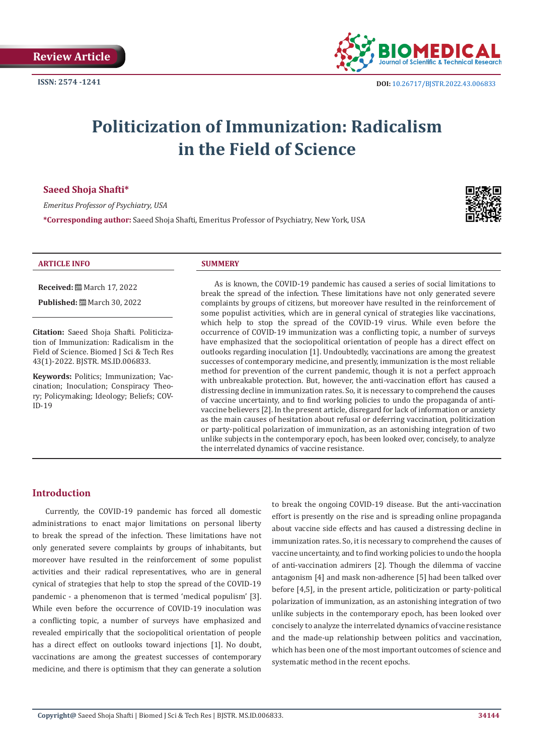

# **Politicization of Immunization: Radicalism in the Field of Science**

# **Saeed Shoja Shafti\***

*Emeritus Professor of Psychiatry, USA*

**\*Corresponding author:** Saeed Shoja Shafti, Emeritus Professor of Psychiatry, New York, USA



#### **ARTICLE INFO SUMMERY**

**Received:** March 17, 2022

**Published:** March 30, 2022

**Citation:** Saeed Shoja Shafti. Politicization of Immunization: Radicalism in the Field of Science. Biomed J Sci & Tech Res 43(1)-2022. BJSTR. MS.ID.006833.

**Keywords:** Politics; Immunization; Vaccination; Inoculation; Conspiracy Theory; Policymaking; Ideology; Beliefs; COV-ID-19

As is known, the COVID-19 pandemic has caused a series of social limitations to break the spread of the infection. These limitations have not only generated severe complaints by groups of citizens, but moreover have resulted in the reinforcement of some populist activities, which are in general cynical of strategies like vaccinations, which help to stop the spread of the COVID-19 virus. While even before the occurrence of COVID-19 immunization was a conflicting topic, a number of surveys have emphasized that the sociopolitical orientation of people has a direct effect on outlooks regarding inoculation [1]. Undoubtedly, vaccinations are among the greatest successes of contemporary medicine, and presently, immunization is the most reliable method for prevention of the current pandemic, though it is not a perfect approach with unbreakable protection. But, however, the anti-vaccination effort has caused a distressing decline in immunization rates. So, it is necessary to comprehend the causes of vaccine uncertainty, and to find working policies to undo the propaganda of antivaccine believers [2]. In the present article, disregard for lack of information or anxiety as the main causes of hesitation about refusal or deferring vaccination, politicization or party-political polarization of immunization, as an astonishing integration of two unlike subjects in the contemporary epoch, has been looked over, concisely, to analyze the interrelated dynamics of vaccine resistance.

# **Introduction**

Currently, the COVID-19 pandemic has forced all domestic administrations to enact major limitations on personal liberty to break the spread of the infection. These limitations have not only generated severe complaints by groups of inhabitants, but moreover have resulted in the reinforcement of some populist activities and their radical representatives, who are in general cynical of strategies that help to stop the spread of the COVID-19 pandemic - a phenomenon that is termed 'medical populism' [3]. While even before the occurrence of COVID-19 inoculation was a conflicting topic, a number of surveys have emphasized and revealed empirically that the sociopolitical orientation of people has a direct effect on outlooks toward injections [1]. No doubt, vaccinations are among the greatest successes of contemporary medicine, and there is optimism that they can generate a solution

to break the ongoing COVID-19 disease. But the anti-vaccination effort is presently on the rise and is spreading online propaganda about vaccine side effects and has caused a distressing decline in immunization rates. So, it is necessary to comprehend the causes of vaccine uncertainty, and to find working policies to undo the hoopla of anti-vaccination admirers [2]. Though the dilemma of vaccine antagonism [4] and mask non-adherence [5] had been talked over before [4,5], in the present article, politicization or party-political polarization of immunization, as an astonishing integration of two unlike subjects in the contemporary epoch, has been looked over concisely to analyze the interrelated dynamics of vaccine resistance and the made-up relationship between politics and vaccination, which has been one of the most important outcomes of science and systematic method in the recent epochs.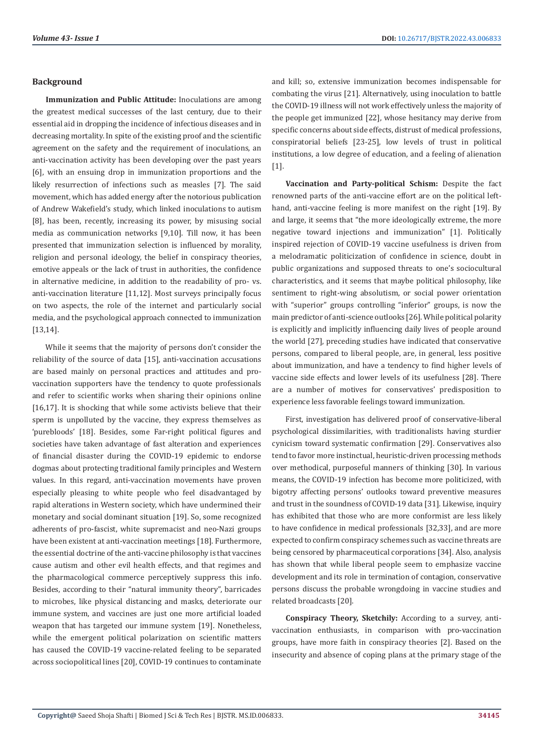#### **Background**

**Immunization and Public Attitude:** Inoculations are among the greatest medical successes of the last century, due to their essential aid in dropping the incidence of infectious diseases and in decreasing mortality. In spite of the existing proof and the scientific agreement on the safety and the requirement of inoculations, an anti-vaccination activity has been developing over the past years [6], with an ensuing drop in immunization proportions and the likely resurrection of infections such as measles [7]. The said movement, which has added energy after the notorious publication of Andrew Wakefield's study, which linked inoculations to autism [8], has been, recently, increasing its power, by misusing social media as communication networks [9,10]. Till now, it has been presented that immunization selection is influenced by morality, religion and personal ideology, the belief in conspiracy theories, emotive appeals or the lack of trust in authorities, the confidence in alternative medicine, in addition to the readability of pro- vs. anti-vaccination literature [11,12]. Most surveys principally focus on two aspects, the role of the internet and particularly social media, and the psychological approach connected to immunization [13,14].

While it seems that the majority of persons don't consider the reliability of the source of data [15], anti-vaccination accusations are based mainly on personal practices and attitudes and provaccination supporters have the tendency to quote professionals and refer to scientific works when sharing their opinions online [16,17]. It is shocking that while some activists believe that their sperm is unpolluted by the vaccine, they express themselves as 'purebloods' [18]. Besides, some Far-right political figures and societies have taken advantage of fast alteration and experiences of financial disaster during the COVID-19 epidemic to endorse dogmas about protecting traditional family principles and Western values. In this regard, anti-vaccination movements have proven especially pleasing to white people who feel disadvantaged by rapid alterations in Western society, which have undermined their monetary and social dominant situation [19]. So, some recognized adherents of pro-fascist, white supremacist and neo-Nazi groups have been existent at anti-vaccination meetings [18]. Furthermore, the essential doctrine of the anti-vaccine philosophy is that vaccines cause autism and other evil health effects, and that regimes and the pharmacological commerce perceptively suppress this info. Besides, according to their "natural immunity theory", barricades to microbes, like physical distancing and masks, deteriorate our immune system, and vaccines are just one more artificial loaded weapon that has targeted our immune system [19]. Nonetheless, while the emergent political polarization on scientific matters has caused the COVID-19 vaccine-related feeling to be separated across sociopolitical lines [20], COVID-19 continues to contaminate

and kill; so, extensive immunization becomes indispensable for combating the virus [21]. Alternatively, using inoculation to battle the COVID-19 illness will not work effectively unless the majority of the people get immunized [22], whose hesitancy may derive from specific concerns about side effects, distrust of medical professions, conspiratorial beliefs [23-25], low levels of trust in political institutions, a low degree of education, and a feeling of alienation [1].

**Vaccination and Party-political Schism:** Despite the fact renowned parts of the anti-vaccine effort are on the political lefthand, anti-vaccine feeling is more manifest on the right [19]. By and large, it seems that "the more ideologically extreme, the more negative toward injections and immunization" [1]. Politically inspired rejection of COVID-19 vaccine usefulness is driven from a melodramatic politicization of confidence in science, doubt in public organizations and supposed threats to one's sociocultural characteristics, and it seems that maybe political philosophy, like sentiment to right-wing absolutism, or social power orientation with "superior" groups controlling "inferior" groups, is now the main predictor of anti-science outlooks [26]. While political polarity is explicitly and implicitly influencing daily lives of people around the world [27], preceding studies have indicated that conservative persons, compared to liberal people, are, in general, less positive about immunization, and have a tendency to find higher levels of vaccine side effects and lower levels of its usefulness [28]. There are a number of motives for conservatives' predisposition to experience less favorable feelings toward immunization.

First, investigation has delivered proof of conservative-liberal psychological dissimilarities, with traditionalists having sturdier cynicism toward systematic confirmation [29]. Conservatives also tend to favor more instinctual, heuristic-driven processing methods over methodical, purposeful manners of thinking [30]. In various means, the COVID-19 infection has become more politicized, with bigotry affecting persons' outlooks toward preventive measures and trust in the soundness of COVID-19 data [31]. Likewise, inquiry has exhibited that those who are more conformist are less likely to have confidence in medical professionals [32,33], and are more expected to confirm conspiracy schemes such as vaccine threats are being censored by pharmaceutical corporations [34]. Also, analysis has shown that while liberal people seem to emphasize vaccine development and its role in termination of contagion, conservative persons discuss the probable wrongdoing in vaccine studies and related broadcasts [20].

**Conspiracy Theory, Sketchily:** According to a survey, antivaccination enthusiasts, in comparison with pro-vaccination groups, have more faith in conspiracy theories [2]. Based on the insecurity and absence of coping plans at the primary stage of the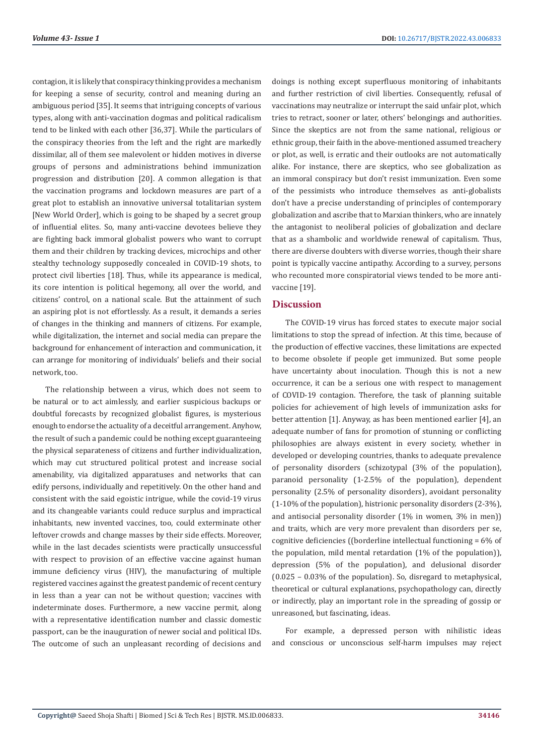contagion, it is likely that conspiracy thinking provides a mechanism for keeping a sense of security, control and meaning during an ambiguous period [35]. It seems that intriguing concepts of various types, along with anti-vaccination dogmas and political radicalism tend to be linked with each other [36,37]. While the particulars of the conspiracy theories from the left and the right are markedly dissimilar, all of them see malevolent or hidden motives in diverse groups of persons and administrations behind immunization progression and distribution [20]. A common allegation is that the vaccination programs and lockdown measures are part of a great plot to establish an innovative universal totalitarian system [New World Order], which is going to be shaped by a secret group of influential elites. So, many anti-vaccine devotees believe they are fighting back immoral globalist powers who want to corrupt them and their children by tracking devices, microchips and other stealthy technology supposedly concealed in COVID-19 shots, to protect civil liberties [18]. Thus, while its appearance is medical, its core intention is political hegemony, all over the world, and citizens' control, on a national scale. But the attainment of such an aspiring plot is not effortlessly. As a result, it demands a series of changes in the thinking and manners of citizens. For example, while digitalization, the internet and social media can prepare the background for enhancement of interaction and communication, it can arrange for monitoring of individuals' beliefs and their social network, too.

The relationship between a virus, which does not seem to be natural or to act aimlessly, and earlier suspicious backups or doubtful forecasts by recognized globalist figures, is mysterious enough to endorse the actuality of a deceitful arrangement. Anyhow, the result of such a pandemic could be nothing except guaranteeing the physical separateness of citizens and further individualization, which may cut structured political protest and increase social amenability, via digitalized apparatuses and networks that can edify persons, individually and repetitively. On the other hand and consistent with the said egoistic intrigue, while the covid-19 virus and its changeable variants could reduce surplus and impractical inhabitants, new invented vaccines, too, could exterminate other leftover crowds and change masses by their side effects. Moreover, while in the last decades scientists were practically unsuccessful with respect to provision of an effective vaccine against human immune deficiency virus (HIV), the manufacturing of multiple registered vaccines against the greatest pandemic of recent century in less than a year can not be without question; vaccines with indeterminate doses. Furthermore, a new vaccine permit, along with a representative identification number and classic domestic passport, can be the inauguration of newer social and political IDs. The outcome of such an unpleasant recording of decisions and

doings is nothing except superfluous monitoring of inhabitants and further restriction of civil liberties. Consequently, refusal of vaccinations may neutralize or interrupt the said unfair plot, which tries to retract, sooner or later, others' belongings and authorities. Since the skeptics are not from the same national, religious or ethnic group, their faith in the above-mentioned assumed treachery or plot, as well, is erratic and their outlooks are not automatically alike. For instance, there are skeptics, who see globalization as an immoral conspiracy but don't resist immunization. Even some of the pessimists who introduce themselves as anti-globalists don't have a precise understanding of principles of contemporary globalization and ascribe that to Marxian thinkers, who are innately the antagonist to neoliberal policies of globalization and declare that as a shambolic and worldwide renewal of capitalism. Thus, there are diverse doubters with diverse worries, though their share point is typically vaccine antipathy. According to a survey, persons who recounted more conspiratorial views tended to be more antivaccine [19].

# **Discussion**

The COVID-19 virus has forced states to execute major social limitations to stop the spread of infection. At this time, because of the production of effective vaccines, these limitations are expected to become obsolete if people get immunized. But some people have uncertainty about inoculation. Though this is not a new occurrence, it can be a serious one with respect to management of COVID-19 contagion. Therefore, the task of planning suitable policies for achievement of high levels of immunization asks for better attention [1]. Anyway, as has been mentioned earlier [4], an adequate number of fans for promotion of stunning or conflicting philosophies are always existent in every society, whether in developed or developing countries, thanks to adequate prevalence of personality disorders (schizotypal (3% of the population), paranoid personality (1-2.5% of the population), dependent personality (2.5% of personality disorders), avoidant personality (1-10% of the population), histrionic personality disorders (2-3%), and antisocial personality disorder (1% in women, 3% in men)) and traits, which are very more prevalent than disorders per se, cognitive deficiencies ((borderline intellectual functioning = 6% of the population, mild mental retardation (1% of the population)), depression (5% of the population), and delusional disorder (0.025 – 0.03% of the population). So, disregard to metaphysical, theoretical or cultural explanations, psychopathology can, directly or indirectly, play an important role in the spreading of gossip or unreasoned, but fascinating, ideas.

For example, a depressed person with nihilistic ideas and conscious or unconscious self-harm impulses may reject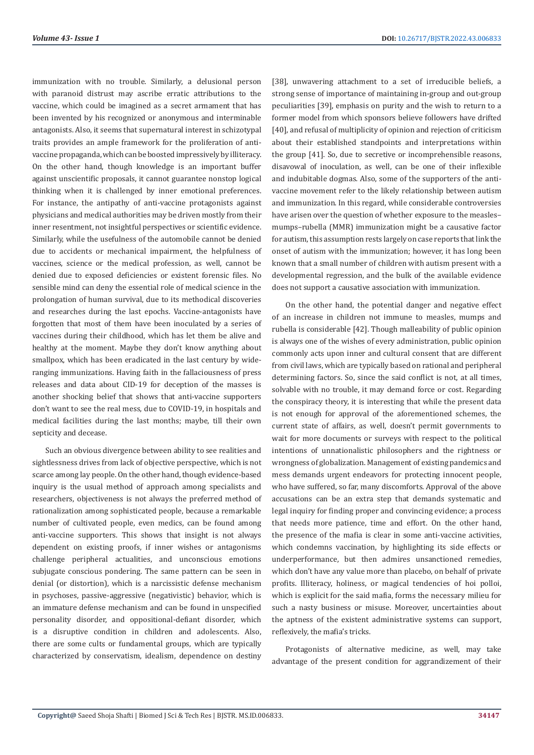immunization with no trouble. Similarly, a delusional person with paranoid distrust may ascribe erratic attributions to the vaccine, which could be imagined as a secret armament that has been invented by his recognized or anonymous and interminable antagonists. Also, it seems that supernatural interest in schizotypal traits provides an ample framework for the proliferation of antivaccine propaganda, which can be boosted impressively by illiteracy. On the other hand, though knowledge is an important buffer against unscientific proposals, it cannot guarantee nonstop logical thinking when it is challenged by inner emotional preferences. For instance, the antipathy of anti-vaccine protagonists against physicians and medical authorities may be driven mostly from their inner resentment, not insightful perspectives or scientific evidence. Similarly, while the usefulness of the automobile cannot be denied due to accidents or mechanical impairment, the helpfulness of vaccines, science or the medical profession, as well, cannot be denied due to exposed deficiencies or existent forensic files. No sensible mind can deny the essential role of medical science in the prolongation of human survival, due to its methodical discoveries and researches during the last epochs. Vaccine-antagonists have forgotten that most of them have been inoculated by a series of vaccines during their childhood, which has let them be alive and healthy at the moment. Maybe they don't know anything about smallpox, which has been eradicated in the last century by wideranging immunizations. Having faith in the fallaciousness of press releases and data about CID-19 for deception of the masses is another shocking belief that shows that anti-vaccine supporters don't want to see the real mess, due to COVID-19, in hospitals and medical facilities during the last months; maybe, till their own septicity and decease.

Such an obvious divergence between ability to see realities and sightlessness drives from lack of objective perspective, which is not scarce among lay people. On the other hand, though evidence-based inquiry is the usual method of approach among specialists and researchers, objectiveness is not always the preferred method of rationalization among sophisticated people, because a remarkable number of cultivated people, even medics, can be found among anti-vaccine supporters. This shows that insight is not always dependent on existing proofs, if inner wishes or antagonisms challenge peripheral actualities, and unconscious emotions subjugate conscious pondering. The same pattern can be seen in denial (or distortion), which is a narcissistic defense mechanism in psychoses, passive-aggressive (negativistic) behavior, which is an immature defense mechanism and can be found in unspecified personality disorder, and oppositional-defiant disorder, which is a disruptive condition in children and adolescents. Also, there are some cults or fundamental groups, which are typically characterized by conservatism, idealism, dependence on destiny

[38], unwavering attachment to a set of irreducible beliefs, a strong sense of importance of maintaining in-group and out-group peculiarities [39], emphasis on purity and the wish to return to a former model from which sponsors believe followers have drifted [40], and refusal of multiplicity of opinion and rejection of criticism about their established standpoints and interpretations within the group [41]. So, due to secretive or incomprehensible reasons, disavowal of inoculation, as well, can be one of their inflexible and indubitable dogmas. Also, some of the supporters of the antivaccine movement refer to the likely relationship between autism and immunization. In this regard, while considerable controversies have arisen over the question of whether exposure to the measles– mumps–rubella (MMR) immunization might be a causative factor for autism, this assumption rests largely on case reports that link the onset of autism with the immunization; however, it has long been known that a small number of children with autism present with a developmental regression, and the bulk of the available evidence does not support a causative association with immunization.

On the other hand, the potential danger and negative effect of an increase in children not immune to measles, mumps and rubella is considerable [42]. Though malleability of public opinion is always one of the wishes of every administration, public opinion commonly acts upon inner and cultural consent that are different from civil laws, which are typically based on rational and peripheral determining factors. So, since the said conflict is not, at all times, solvable with no trouble, it may demand force or cost. Regarding the conspiracy theory, it is interesting that while the present data is not enough for approval of the aforementioned schemes, the current state of affairs, as well, doesn't permit governments to wait for more documents or surveys with respect to the political intentions of unnationalistic philosophers and the rightness or wrongness of globalization. Management of existing pandemics and mess demands urgent endeavors for protecting innocent people, who have suffered, so far, many discomforts. Approval of the above accusations can be an extra step that demands systematic and legal inquiry for finding proper and convincing evidence; a process that needs more patience, time and effort. On the other hand, the presence of the mafia is clear in some anti-vaccine activities, which condemns vaccination, by highlighting its side effects or underperformance, but then admires unsanctioned remedies, which don't have any value more than placebo, on behalf of private profits. Illiteracy, holiness, or magical tendencies of hoi polloi, which is explicit for the said mafia, forms the necessary milieu for such a nasty business or misuse. Moreover, uncertainties about the aptness of the existent administrative systems can support, reflexively, the mafia's tricks.

Protagonists of alternative medicine, as well, may take advantage of the present condition for aggrandizement of their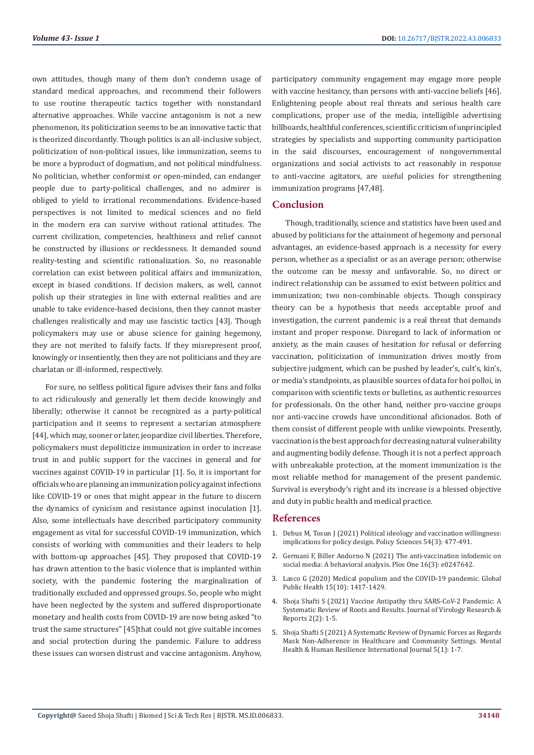own attitudes, though many of them don't condemn usage of standard medical approaches, and recommend their followers to use routine therapeutic tactics together with nonstandard alternative approaches. While vaccine antagonism is not a new phenomenon, its politicization seems to be an innovative tactic that is theorized discordantly. Though politics is an all-inclusive subject, politicization of non-political issues, like immunization, seems to be more a byproduct of dogmatism, and not political mindfulness. No politician, whether conformist or open-minded, can endanger people due to party-political challenges, and no admirer is obliged to yield to irrational recommendations. Evidence-based perspectives is not limited to medical sciences and no field in the modern era can survive without rational attitudes. The current civilization, competencies, healthiness and relief cannot be constructed by illusions or recklessness. It demanded sound reality-testing and scientific rationalization. So, no reasonable correlation can exist between political affairs and immunization, except in biased conditions. If decision makers, as well, cannot polish up their strategies in line with external realities and are unable to take evidence-based decisions, then they cannot master challenges realistically and may use fascistic tactics [43]. Though policymakers may use or abuse science for gaining hegemony, they are not merited to falsify facts. If they misrepresent proof, knowingly or insentiently, then they are not politicians and they are charlatan or ill-informed, respectively.

For sure, no selfless political figure advises their fans and folks to act ridiculously and generally let them decide knowingly and liberally; otherwise it cannot be recognized as a party-political participation and it seems to represent a sectarian atmosphere [44], which may, sooner or later, jeopardize civil liberties. Therefore, policymakers must depoliticize immunization in order to increase trust in and public support for the vaccines in general and for vaccines against COVID-19 in particular [1]. So, it is important for officials who are planning an immunization policy against infections like COVID-19 or ones that might appear in the future to discern the dynamics of cynicism and resistance against inoculation [1]. Also, some intellectuals have described participatory community engagement as vital for successful COVID-19 immunization, which consists of working with communities and their leaders to help with bottom-up approaches [45]. They proposed that COVID-19 has drawn attention to the basic violence that is implanted within society, with the pandemic fostering the marginalization of traditionally excluded and oppressed groups. So, people who might have been neglected by the system and suffered disproportionate monetary and health costs from COVID-19 are now being asked "to trust the same structures" [45]that could not give suitable incomes and social protection during the pandemic. Failure to address these issues can worsen distrust and vaccine antagonism. Anyhow, participatory community engagement may engage more people with vaccine hesitancy, than persons with anti-vaccine beliefs [46]. Enlightening people about real threats and serious health care complications, proper use of the media, intelligible advertising billboards, healthful conferences, scientific criticism of unprincipled strategies by specialists and supporting community participation in the said discourses, encouragement of nongovernmental organizations and social activists to act reasonably in response to anti-vaccine agitators, are useful policies for strengthening immunization programs [47,48].

# **Conclusion**

Though, traditionally, science and statistics have been used and abused by politicians for the attainment of hegemony and personal advantages, an evidence-based approach is a necessity for every person, whether as a specialist or as an average person; otherwise the outcome can be messy and unfavorable. So, no direct or indirect relationship can be assumed to exist between politics and immunization; two non-combinable objects. Though conspiracy theory can be a hypothesis that needs acceptable proof and investigation, the current pandemic is a real threat that demands instant and proper response. Disregard to lack of information or anxiety, as the main causes of hesitation for refusal or deferring vaccination, politicization of immunization drives mostly from subjective judgment, which can be pushed by leader's, cult's, kin's, or media's standpoints, as plausible sources of data for hoi polloi, in comparison with scientific texts or bulletins, as authentic resources for professionals. On the other hand, neither pro-vaccine groups nor anti-vaccine crowds have unconditional aficionados. Both of them consist of different people with unlike viewpoints. Presently, vaccination is the best approach for decreasing natural vulnerability and augmenting bodily defense. Though it is not a perfect approach with unbreakable protection, at the moment immunization is the most reliable method for management of the present pandemic. Survival is everybody's right and its increase is a blessed objective and duty in public health and medical practice.

#### **References**

- 1. [Debus M, Tosun J \(2021\) Political ideology and vaccination willingness:](https://www.ncbi.nlm.nih.gov/pmc/articles/PMC8206899/) [implications for policy design. Policy Sciences 54\(3\): 477-491.](https://www.ncbi.nlm.nih.gov/pmc/articles/PMC8206899/)
- 2. [Germani F, Biller Andorno N \(2021\) The anti-vaccination infodemic on](https://journals.plos.org/plosone/article?id=10.1371/journal.pone.0247642) [social media: A behavioral analysis. Plos One 16\(3\): e0247642.](https://journals.plos.org/plosone/article?id=10.1371/journal.pone.0247642)
- 3. [Lasco G \(2020\) Medical populism and the COVID-19 pandemic. Global](https://pubmed.ncbi.nlm.nih.gov/32780635/) [Public Health 15\(10\): 1417-1429.](https://pubmed.ncbi.nlm.nih.gov/32780635/)
- 4. [Shoja Shafti S \(2021\) Vaccine Antipathy thru SARS-CoV-2 Pandemic: A](https://www.onlinescientificresearch.com/articles/vaccine-antipathy-thru-sarscov2-pandemic-a-systematic-review-of-roots-and-results.pdf) [Systematic Review of Roots and Results. Journal of Virology Research &](https://www.onlinescientificresearch.com/articles/vaccine-antipathy-thru-sarscov2-pandemic-a-systematic-review-of-roots-and-results.pdf) [Reports 2\(2\): 1-5.](https://www.onlinescientificresearch.com/articles/vaccine-antipathy-thru-sarscov2-pandemic-a-systematic-review-of-roots-and-results.pdf)
- 5. [Shoja Shafti S \(2021\) A Systematic Review of Dynamic Forces as Regards](https://medwinpublishers.com/MHRIJ/a-systematic-review-of-dynamic-forces-as-regards-mask-non-adherence-in-healthcare-and-community-settings.pdf) [Mask Non-Adherence in Healthcare and Community Settings. Mental](https://medwinpublishers.com/MHRIJ/a-systematic-review-of-dynamic-forces-as-regards-mask-non-adherence-in-healthcare-and-community-settings.pdf) [Health & Human Resilience International Journal 5\(1\): 1-7.](https://medwinpublishers.com/MHRIJ/a-systematic-review-of-dynamic-forces-as-regards-mask-non-adherence-in-healthcare-and-community-settings.pdf)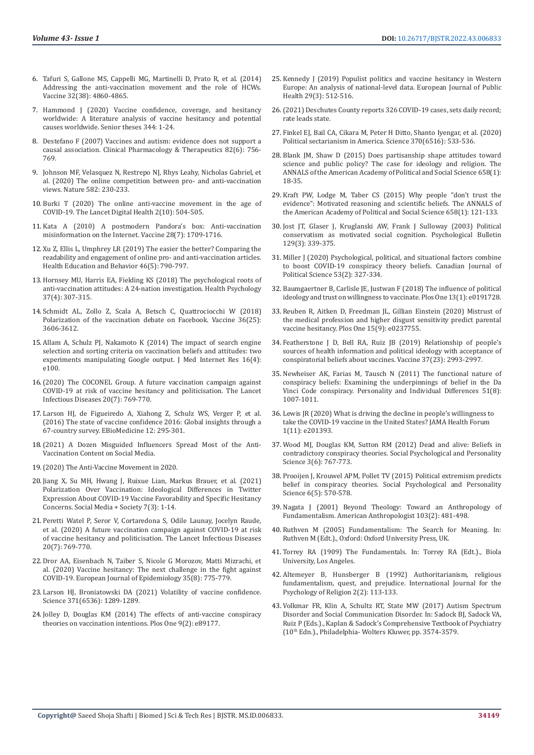- 6. [Tafuri S, Gallone MS, Cappelli MG, Martinelli D, Prato R, et al. \(2014\)](https://pubmed.ncbi.nlm.nih.gov/24262311/)  [Addressing the anti-vaccination movement and the role of HCWs.](https://pubmed.ncbi.nlm.nih.gov/24262311/)  [Vaccine 32\(38\): 4860-4865.](https://pubmed.ncbi.nlm.nih.gov/24262311/)
- 7. [Hammond J \(2020\) Vaccine confidence, coverage, and hesitancy](https://scholarcommons.sc.edu/senior_theses/344/)  [worldwide: A literature analysis of vaccine hesitancy and potential](https://scholarcommons.sc.edu/senior_theses/344/)  [causes worldwide. Senior theses 344: 1-24.](https://scholarcommons.sc.edu/senior_theses/344/)
- 8. [Destefano F \(2007\) Vaccines and autism: evidence does not support a](https://pubmed.ncbi.nlm.nih.gov/17928818/)  [causal association. Clinical Pharmacology & Therapeutics 82\(6\): 756-](https://pubmed.ncbi.nlm.nih.gov/17928818/) [769.](https://pubmed.ncbi.nlm.nih.gov/17928818/)
- 9. [Johnson MF, Velasquez N, Restrepo NJ, Rhys Leahy, Nicholas Gabriel, et](https://pubmed.ncbi.nlm.nih.gov/32499650/)  [al. \(2020\) The online competition between pro- and anti-vaccination](https://pubmed.ncbi.nlm.nih.gov/32499650/)  [views. Nature 582: 230-233.](https://pubmed.ncbi.nlm.nih.gov/32499650/)
- 10. [Burki T \(2020\) The online anti-vaccine movement in the age of](https://www.ncbi.nlm.nih.gov/pmc/articles/PMC7508526/)  [COVID-19. The Lancet Digital Health 2\(10\): 504-505.](https://www.ncbi.nlm.nih.gov/pmc/articles/PMC7508526/)
- 11. [Kata A \(2010\) A postmodern Pandora's box: Anti-vaccination](https://pubmed.ncbi.nlm.nih.gov/20045099/)  [misinformation on the Internet. Vaccine 28\(7\): 1709-1716.](https://pubmed.ncbi.nlm.nih.gov/20045099/)
- 12. [Xu Z, Ellis L, Umphrey LR \(2019\) The easier the better? Comparing the](https://pubmed.ncbi.nlm.nih.gov/31216882/)  [readability and engagement of online pro- and anti-vaccination articles.](https://pubmed.ncbi.nlm.nih.gov/31216882/)  [Health Education and Behavior 46\(5\): 790-797.](https://pubmed.ncbi.nlm.nih.gov/31216882/)
- 13. [Hornsey MU, Harris EA, Fielding KS \(2018\) The psychological roots of](https://pubmed.ncbi.nlm.nih.gov/29389158/)  [anti-vaccination attitudes: A 24-nation investigation. Health Psychology](https://pubmed.ncbi.nlm.nih.gov/29389158/)  [37\(4\): 307-315.](https://pubmed.ncbi.nlm.nih.gov/29389158/)
- 14. [Schmidt AL, Zollo Z, Scala A, Betsch C, Quattrociocchi W \(2018\)](https://pubmed.ncbi.nlm.nih.gov/29773322/)  [Polarization of the vaccination debate on Facebook. Vaccine 36\(25\):](https://pubmed.ncbi.nlm.nih.gov/29773322/)  [3606-3612.](https://pubmed.ncbi.nlm.nih.gov/29773322/)
- 15. [Allam A, Schulz PJ, Nakamoto K \(2014\) The impact of search engine](https://pubmed.ncbi.nlm.nih.gov/24694866/)  [selection and sorting criteria on vaccination beliefs and attitudes: two](https://pubmed.ncbi.nlm.nih.gov/24694866/)  [experiments manipulating Google output. J Med Internet Res 16\(4\):](https://pubmed.ncbi.nlm.nih.gov/24694866/)  [e100.](https://pubmed.ncbi.nlm.nih.gov/24694866/)
- 16.[\(2020\) The COCONEL Group. A future vaccination campaign against](https://pubmed.ncbi.nlm.nih.gov/32445713/)  [COVID-19 at risk of vaccine hesitancy and politicisation. The Lancet](https://pubmed.ncbi.nlm.nih.gov/32445713/)  [Infectious Diseases 20\(7\): 769-770.](https://pubmed.ncbi.nlm.nih.gov/32445713/)
- 17. [Larson HJ, de Figueiredo A, Xiahong Z, Schulz WS, Verger P, et al.](https://www.ncbi.nlm.nih.gov/pmc/articles/PMC5078590/)  [\(2016\) The state of vaccine confidence 2016: Global insights through a](https://www.ncbi.nlm.nih.gov/pmc/articles/PMC5078590/)  [67-country survey. EBioMedicine 12: 295-301.](https://www.ncbi.nlm.nih.gov/pmc/articles/PMC5078590/)
- 18.[\(2021\) A Dozen Misguided Influencers Spread Most of the Anti-](https://www.mcgill.ca/oss/article/covid-19-health/dozen-misguided-influencers-spread-most-anti-vaccination-content-social-media)[Vaccination Content on Social Media.](https://www.mcgill.ca/oss/article/covid-19-health/dozen-misguided-influencers-spread-most-anti-vaccination-content-social-media)
- 19.[\(2020\) The Anti-Vaccine Movement in 2020.](https://www.mcgill.ca/oss/article/covid-19-pseudoscience/anti-vaccine-movement-2020)
- 20. [Jiang X, Su MH, Hwang J, Ruixue Lian, Markus Brauer, et al. \(2021\)](https://journals.sagepub.com/doi/10.1177/20563051211048413)  [Polarization Over Vaccination: Ideological Differences in Twitter](https://journals.sagepub.com/doi/10.1177/20563051211048413)  [Expression About COVID-19 Vaccine Favorability and Specific Hesitancy](https://journals.sagepub.com/doi/10.1177/20563051211048413)  [Concerns. Social Media + Society 7\(3\): 1-14.](https://journals.sagepub.com/doi/10.1177/20563051211048413)
- 21. [Peretti Watel P, Seror V, Cortaredona S, Odile Launay, Jocelyn Raude,](https://pubmed.ncbi.nlm.nih.gov/32445713/)  [et al. \(2020\) A future vaccination campaign against COVID-19 at risk](https://pubmed.ncbi.nlm.nih.gov/32445713/)  [of vaccine hesitancy and politicisation. The Lancet Infectious Diseases](https://pubmed.ncbi.nlm.nih.gov/32445713/)  [20\(7\): 769-770.](https://pubmed.ncbi.nlm.nih.gov/32445713/)
- 22. [Dror AA, Eisenbach N, Taiber S, Nicole G Morozov, Matti Mizrachi, et](https://pubmed.ncbi.nlm.nih.gov/32785815/)  [al. \(2020\) Vaccine hesitancy: The next challenge in the fight against](https://pubmed.ncbi.nlm.nih.gov/32785815/)  [COVID-19. European Journal of Epidemiology 35\(8\): 775-779.](https://pubmed.ncbi.nlm.nih.gov/32785815/)
- 23. [Larson HJ, Broniatowski DA \(2021\) Volatility of vaccine confidence.](https://pubmed.ncbi.nlm.nih.gov/33766861/)  [Science 371\(6536\): 1289-1289.](https://pubmed.ncbi.nlm.nih.gov/33766861/)
- 24. [Jolley D, Douglas KM \(2014\) The effects of anti-vaccine conspiracy](https://journals.plos.org/plosone/article?id=10.1371/journal.pone.0089177)  [theories on vaccination intentions. Plos One 9\(2\): e89177.](https://journals.plos.org/plosone/article?id=10.1371/journal.pone.0089177)
- 25. [Kennedy J \(2019\) Populist politics and vaccine hesitancy in Western](https://academic.oup.com/eurpub/article/29/3/512/5364298?login=true) [Europe: An analysis of national-level data. European Journal of Public](https://academic.oup.com/eurpub/article/29/3/512/5364298?login=true) [Health 29\(3\): 512-516.](https://academic.oup.com/eurpub/article/29/3/512/5364298?login=true)
- 26.[\(2021\) Deschutes County reports 326 COVID-19 cases, sets daily record;](https://ktvz.com/news/coronavirus/2021/12/29/oregon-reports-9-more-covid-19-related-deaths-2331-new-cases/) [rate leads state.](https://ktvz.com/news/coronavirus/2021/12/29/oregon-reports-9-more-covid-19-related-deaths-2331-new-cases/)
- 27. [Finkel EJ, Bail CA, Cikara M, Peter H Ditto, Shanto Iyengar, et al. \(2020\)](https://pubmed.ncbi.nlm.nih.gov/33122374/) [Political sectarianism in America. Science 370\(6516\): 533-536.](https://pubmed.ncbi.nlm.nih.gov/33122374/)
- 28. [Blank JM, Shaw D \(2015\) Does partisanship shape attitudes toward](https://journals.sagepub.com/doi/abs/10.1177/0002716214554756) [science and public policy? The case for ideology and religion. The](https://journals.sagepub.com/doi/abs/10.1177/0002716214554756) [ANNALS of the American Academy of Political and Social Science 658\(1\):](https://journals.sagepub.com/doi/abs/10.1177/0002716214554756) [18-35.](https://journals.sagepub.com/doi/abs/10.1177/0002716214554756)
- 29. [Kraft PW, Lodge M, Taber CS \(2015\) Why people "don't trust the](https://journals.sagepub.com/doi/10.1177/0002716214554758?icid=int.sj-full-text.similar-articles.3) [evidence": Motivated reasoning and scientific beliefs. The ANNALS of](https://journals.sagepub.com/doi/10.1177/0002716214554758?icid=int.sj-full-text.similar-articles.3) [the American Academy of Political and Social Science 658\(1\): 121-133.](https://journals.sagepub.com/doi/10.1177/0002716214554758?icid=int.sj-full-text.similar-articles.3)
- 30. [Jost JT, Glaser J, Kruglanski AW, Frank J Sulloway \(2003\) Political](https://pubmed.ncbi.nlm.nih.gov/12784934/) [conservatism as motivated social cognition. Psychological Bulletin](https://pubmed.ncbi.nlm.nih.gov/12784934/) [129\(3\): 339-375.](https://pubmed.ncbi.nlm.nih.gov/12784934/)
- 31. [Miller J \(2020\) Psychological, political, and situational factors combine](https://www.cambridge.org/core/journals/canadian-journal-of-political-science-revue-canadienne-de-science-politique/article/psychological-political-and-situational-factors-combine-to-boost-covid19-conspiracy-theory-beliefs/769693BA993ED5FBE3583803039E27EC) [to boost COVID-19 conspiracy theory beliefs. Canadian Journal of](https://www.cambridge.org/core/journals/canadian-journal-of-political-science-revue-canadienne-de-science-politique/article/psychological-political-and-situational-factors-combine-to-boost-covid19-conspiracy-theory-beliefs/769693BA993ED5FBE3583803039E27EC) [Political Science 53\(2\): 327-334.](https://www.cambridge.org/core/journals/canadian-journal-of-political-science-revue-canadienne-de-science-politique/article/psychological-political-and-situational-factors-combine-to-boost-covid19-conspiracy-theory-beliefs/769693BA993ED5FBE3583803039E27EC)
- 32. [Baumgaertner B, Carlisle JE, Justwan F \(2018\) The influence of political](https://pubmed.ncbi.nlm.nih.gov/29370265/) [ideology and trust on willingness to vaccinate. Plos One 13\(1\): e0191728.](https://pubmed.ncbi.nlm.nih.gov/29370265/)
- 33. [Reuben R, Aitken D, Freedman JL, Gillian Einstein \(2020\) Mistrust of](https://journals.plos.org/plosone/article?id=10.1371/journal.pone.0237755) [the medical profession and higher disgust sensitivity predict parental](https://journals.plos.org/plosone/article?id=10.1371/journal.pone.0237755) [vaccine hesitancy. Plos One 15\(9\): e0237755.](https://journals.plos.org/plosone/article?id=10.1371/journal.pone.0237755)
- 34. [Featherstone J D, Bell RA, Ruiz JB \(2019\) Relationship of people's](https://pubmed.ncbi.nlm.nih.gov/31031028/) [sources of health information and political ideology with acceptance of](https://pubmed.ncbi.nlm.nih.gov/31031028/) [conspiratorial beliefs about vaccines. Vaccine 37\(23\): 2993-2997.](https://pubmed.ncbi.nlm.nih.gov/31031028/)
- 35. [Newheiser AK, Farias M, Tausch N \(2011\) The functional nature of](https://pureportal.coventry.ac.uk/en/publications/the-functional-nature-of-conspiracy-beliefs-examining-the-underpi) [conspiracy beliefs: Examining the underpinnings of belief in the Da](https://pureportal.coventry.ac.uk/en/publications/the-functional-nature-of-conspiracy-beliefs-examining-the-underpi) [Vinci Code conspiracy. Personality and Individual Differences 51\(8\):](https://pureportal.coventry.ac.uk/en/publications/the-functional-nature-of-conspiracy-beliefs-examining-the-underpi) [1007-1011.](https://pureportal.coventry.ac.uk/en/publications/the-functional-nature-of-conspiracy-beliefs-examining-the-underpi)
- 36. [Lewis JR \(2020\) What is driving the decline in people's willingness to](https://jamanetwork.com/journals/jama-health-forum/fullarticle/2773320)  [take the COVID-19 vaccine in the United States? JAMA Health Forum](https://jamanetwork.com/journals/jama-health-forum/fullarticle/2773320)  [1\(11\): e201393.](https://jamanetwork.com/journals/jama-health-forum/fullarticle/2773320)
- 37. [Wood MJ, Douglas KM, Sutton RM \(2012\) Dead and alive: Beliefs in](https://journals.sagepub.com/doi/abs/10.1177/1948550611434786) [contradictory conspiracy theories. Social Psychological and Personality](https://journals.sagepub.com/doi/abs/10.1177/1948550611434786) [Science 3\(6\): 767-773.](https://journals.sagepub.com/doi/abs/10.1177/1948550611434786)
- 38. [Prooijen J, Krouwel APM, Pollet TV \(2015\) Political extremism predicts](https://journals.sagepub.com/doi/abs/10.1177/1948550614567356) [belief in conspiracy theories. Social Psychological and Personality](https://journals.sagepub.com/doi/abs/10.1177/1948550614567356) [Science 6\(5\): 570-578.](https://journals.sagepub.com/doi/abs/10.1177/1948550614567356)
- 39. [Nagata J \(2001\) Beyond Theology: Toward an Anthropology of](https://www.jstor.org/stable/683478) [Fundamentalism. American Anthropologist 103\(2\): 481-498.](https://www.jstor.org/stable/683478)
- 40. [Ruthven M \(2005\) Fundamentalism: The Search for Meaning. In:](https://www.cambridge.org/core/journals/journal-of-the-royal-asiatic-society/article/abs/fundamentalism-the-search-for-meaning-by-malise-ruthven-pp-viii-246-oxford-oxford-university-press-2004/8753620359C73041AC076ECCBD589D16) [Ruthven M \(Edt.\)., Oxford: Oxford University Press, UK.](https://www.cambridge.org/core/journals/journal-of-the-royal-asiatic-society/article/abs/fundamentalism-the-search-for-meaning-by-malise-ruthven-pp-viii-246-oxford-oxford-university-press-2004/8753620359C73041AC076ECCBD589D16)
- 41. [Torrey RA \(1909\) The Fundamentals. In: Torrey RA \(Edt.\)., Biola](https://digitalcommons.biola.edu/the-fundamentals/) [University, Los Angeles.](https://digitalcommons.biola.edu/the-fundamentals/)
- 42. [Altemeyer B, Hunsberger B \(1992\) Authoritarianism, religious](https://www.tandfonline.com/doi/abs/10.1207/s15327582ijpr0202_5) [fundamentalism, quest, and prejudice. International Journal for the](https://www.tandfonline.com/doi/abs/10.1207/s15327582ijpr0202_5) [Psychology of Religion 2\(2\): 113-133.](https://www.tandfonline.com/doi/abs/10.1207/s15327582ijpr0202_5)
- 43. Volkmar FR, Klin A, Schultz RT, State MW (2017) Autism Spectrum Disorder and Social Communication Disorder. In: Sadock BJ, Sadock VA, Ruiz P (Eds.)., Kaplan & Sadock's Comprehensive Textbook of Psychiatry (10th Edn.)., Philadelphia- Wolters Kluwer, pp. 3574-3579.